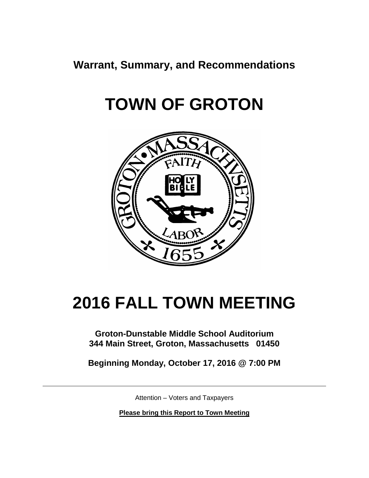**Warrant, Summary, and Recommendations**

# **TOWN OF GROTON**



# **2016 FALL TOWN MEETING**

**Groton-Dunstable Middle School Auditorium 344 Main Street, Groton, Massachusetts 01450**

**Beginning Monday, October 17, 2016 @ 7:00 PM**

Attention – Voters and Taxpayers

**Please bring this Report to Town Meeting**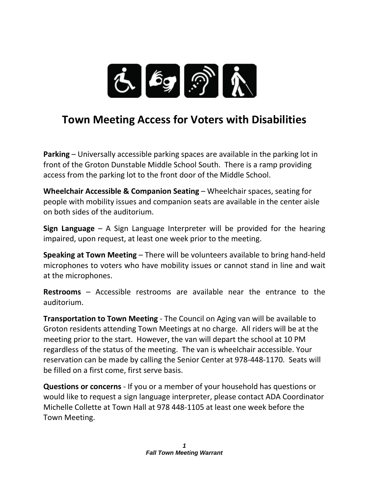

## **Town Meeting Access for Voters with Disabilities**

**Parking** – Universally accessible parking spaces are available in the parking lot in front of the Groton Dunstable Middle School South. There is a ramp providing access from the parking lot to the front door of the Middle School.

**Wheelchair Accessible & Companion Seating** – Wheelchair spaces, seating for people with mobility issues and companion seats are available in the center aisle on both sides of the auditorium.

**Sign Language** – A Sign Language Interpreter will be provided for the hearing impaired, upon request, at least one week prior to the meeting.

**Speaking at Town Meeting** – There will be volunteers available to bring hand-held microphones to voters who have mobility issues or cannot stand in line and wait at the microphones.

**Restrooms** – Accessible restrooms are available near the entrance to the auditorium.

**Transportation to Town Meeting** - The Council on Aging van will be available to Groton residents attending Town Meetings at no charge. All riders will be at the meeting prior to the start. However, the van will depart the school at 10 PM regardless of the status of the meeting. The van is wheelchair accessible. Your reservation can be made by calling the Senior Center at 978-448-1170. Seats will be filled on a first come, first serve basis.

**Questions or concerns** - If you or a member of your household has questions or would like to request a sign language interpreter, please contact ADA Coordinator Michelle Collette at Town Hall at 978 448-1105 at least one week before the Town Meeting.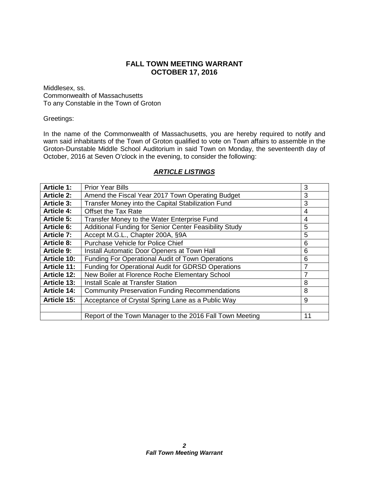## **FALL TOWN MEETING WARRANT OCTOBER 17, 2016**

Middlesex, ss. Commonwealth of Massachusetts To any Constable in the Town of Groton

#### Greetings:

In the name of the Commonwealth of Massachusetts, you are hereby required to notify and warn said inhabitants of the Town of Groton qualified to vote on Town affairs to assemble in the Groton-Dunstable Middle School Auditorium in said Town on Monday, the seventeenth day of October, 2016 at Seven O'clock in the evening, to consider the following:

| <b>Article 1:</b>  | <b>Prior Year Bills</b>                                  | 3  |
|--------------------|----------------------------------------------------------|----|
| <b>Article 2:</b>  | Amend the Fiscal Year 2017 Town Operating Budget         | 3  |
| <b>Article 3:</b>  | Transfer Money into the Capital Stabilization Fund       | 3  |
| <b>Article 4:</b>  | <b>Offset the Tax Rate</b>                               | 4  |
| Article 5:         | Transfer Money to the Water Enterprise Fund              | 4  |
| <b>Article 6:</b>  | Additional Funding for Senior Center Feasibility Study   | 5  |
| Article 7:         | Accept M.G.L., Chapter 200A, §9A                         | 5  |
| <b>Article 8:</b>  | Purchase Vehicle for Police Chief                        | 6  |
| Article 9:         | Install Automatic Door Openers at Town Hall              | 6  |
| <b>Article 10:</b> | <b>Funding For Operational Audit of Town Operations</b>  | 6  |
| <b>Article 11:</b> | Funding for Operational Audit for GDRSD Operations       | 7  |
| <b>Article 12:</b> | New Boiler at Florence Roche Elementary School           | 7  |
| Article 13:        | <b>Install Scale at Transfer Station</b>                 | 8  |
| <b>Article 14:</b> | <b>Community Preservation Funding Recommendations</b>    | 8  |
| Article 15:        | Acceptance of Crystal Spring Lane as a Public Way        | 9  |
|                    |                                                          |    |
|                    | Report of the Town Manager to the 2016 Fall Town Meeting | 11 |

#### *ARTICLE LISTINGS*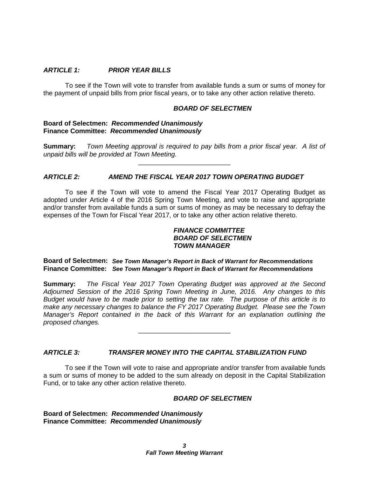#### *ARTICLE 1: PRIOR YEAR BILLS*

To see if the Town will vote to transfer from available funds a sum or sums of money for the payment of unpaid bills from prior fiscal years, or to take any other action relative thereto.

#### *BOARD OF SELECTMEN*

#### **Board of Selectmen:** *Recommended Unanimously* **Finance Committee:** *Recommended Unanimously*

**Summary:** *Town Meeting approval is required to pay bills from a prior fiscal year. A list of unpaid bills will be provided at Town Meeting.* \_\_\_\_\_\_\_\_\_\_\_\_\_\_\_\_\_\_\_\_\_\_\_\_\_

#### *ARTICLE 2: AMEND THE FISCAL YEAR 2017 TOWN OPERATING BUDGET*

To see if the Town will vote to amend the Fiscal Year 2017 Operating Budget as adopted under Article 4 of the 2016 Spring Town Meeting, and vote to raise and appropriate and/or transfer from available funds a sum or sums of money as may be necessary to defray the expenses of the Town for Fiscal Year 2017, or to take any other action relative thereto.

#### *FINANCE COMMITTEE BOARD OF SELECTMEN TOWN MANAGER*

#### **Board of Selectmen:** *See Town Manager's Report in Back of Warrant for Recommendations* **Finance Committee:** *See Town Manager's Report in Back of Warrant for Recommendations*

**Summary:** *The Fiscal Year 2017 Town Operating Budget was approved at the Second Adjourned Session of the 2016 Spring Town Meeting in June, 2016. Any changes to this Budget would have to be made prior to setting the tax rate. The purpose of this article is to make any necessary changes to balance the FY 2017 Operating Budget. Please see the Town Manager's Report contained in the back of this Warrant for an explanation outlining the proposed changes.*

\_\_\_\_\_\_\_\_\_\_\_\_\_\_\_\_\_\_\_\_\_\_\_\_\_

#### *ARTICLE 3: TRANSFER MONEY INTO THE CAPITAL STABILIZATION FUND*

To see if the Town will vote to raise and appropriate and/or transfer from available funds a sum or sums of money to be added to the sum already on deposit in the Capital Stabilization Fund, or to take any other action relative thereto.

#### *BOARD OF SELECTMEN*

**Board of Selectmen:** *Recommended Unanimously* **Finance Committee:** *Recommended Unanimously*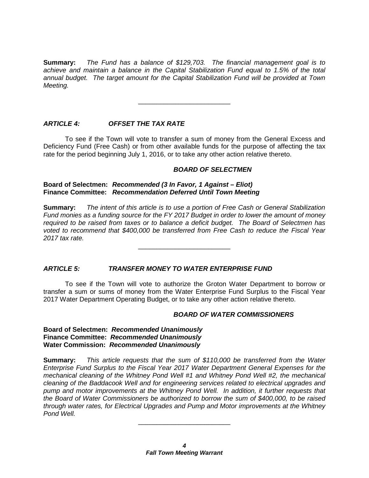**Summary:** *The Fund has a balance of \$129,703. The financial management goal is to achieve and maintain a balance in the Capital Stabilization Fund equal to 1.5% of the total annual budget. The target amount for the Capital Stabilization Fund will be provided at Town Meeting.*

\_\_\_\_\_\_\_\_\_\_\_\_\_\_\_\_\_\_\_\_\_\_\_\_\_

*ARTICLE 4: OFFSET THE TAX RATE*

To see if the Town will vote to transfer a sum of money from the General Excess and Deficiency Fund (Free Cash) or from other available funds for the purpose of affecting the tax rate for the period beginning July 1, 2016, or to take any other action relative thereto.

#### *BOARD OF SELECTMEN*

#### **Board of Selectmen:** *Recommended (3 In Favor, 1 Against – Eliot)* **Finance Committee:** *Recommendation Deferred Until Town Meeting*

**Summary:** *The intent of this article is to use a portion of Free Cash or General Stabilization Fund monies as a funding source for the FY 2017 Budget in order to lower the amount of money required to be raised from taxes or to balance a deficit budget. The Board of Selectmen has voted to recommend that \$400,000 be transferred from Free Cash to reduce the Fiscal Year 2017 tax rate.*

\_\_\_\_\_\_\_\_\_\_\_\_\_\_\_\_\_\_\_\_\_\_\_\_\_

#### *ARTICLE 5: TRANSFER MONEY TO WATER ENTERPRISE FUND*

To see if the Town will vote to authorize the Groton Water Department to borrow or transfer a sum or sums of money from the Water Enterprise Fund Surplus to the Fiscal Year 2017 Water Department Operating Budget, or to take any other action relative thereto.

#### *BOARD OF WATER COMMISSIONERS*

#### **Board of Selectmen:** *Recommended Unanimously* **Finance Committee:** *Recommended Unanimously* **Water Commission:** *Recommended Unanimously*

**Summary:** *This article requests that the sum of \$110,000 be transferred from the Water Enterprise Fund Surplus to the Fiscal Year 2017 Water Department General Expenses for the mechanical cleaning of the Whitney Pond Well #1 and Whitney Pond Well #2, the mechanical cleaning of the Baddacook Well and for engineering services related to electrical upgrades and pump and motor improvements at the Whitney Pond Well. In addition, it further requests that the Board of Water Commissioners be authorized to borrow the sum of \$400,000, to be raised through water rates, for Electrical Upgrades and Pump and Motor improvements at the Whitney Pond Well.*

\_\_\_\_\_\_\_\_\_\_\_\_\_\_\_\_\_\_\_\_\_\_\_\_\_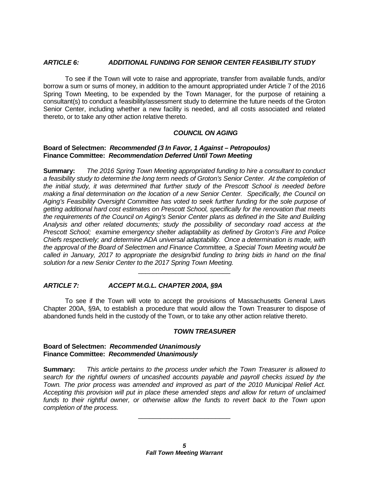#### *ARTICLE 6: ADDITIONAL FUNDING FOR SENIOR CENTER FEASIBILITY STUDY*

To see if the Town will vote to raise and appropriate, transfer from available funds, and/or borrow a sum or sums of money, in addition to the amount appropriated under Article 7 of the 2016 Spring Town Meeting, to be expended by the Town Manager, for the purpose of retaining a consultant(s) to conduct a feasibility/assessment study to determine the future needs of the Groton Senior Center, including whether a new facility is needed, and all costs associated and related thereto, or to take any other action relative thereto.

#### *COUNCIL ON AGING*

#### **Board of Selectmen:** *Recommended (3 In Favor, 1 Against – Petropoulos)* **Finance Committee:** *Recommendation Deferred Until Town Meeting*

**Summary:** *The 2016 Spring Town Meeting appropriated funding to hire a consultant to conduct a feasibility study to determine the long term needs of Groton's Senior Center. At the completion of the initial study, it was determined that further study of the Prescott School is needed before making a final determination on the location of a new Senior Center. Specifically, the Council on Aging's Feasibility Oversight Committee has voted to seek further funding for the sole purpose of getting additional hard cost estimates on Prescott School, specifically for the renovation that meets the requirements of the Council on Aging's Senior Center plans as defined in the Site and Building Analysis and other related documents; study the possibility of secondary road access at the Prescott School; examine emergency shelter adaptability as defined by Groton's Fire and Police Chiefs respectively; and determine ADA universal adaptability. Once a determination is made, with the approval of the Board of Selectmen and Finance Committee, a Special Town Meeting would be called in January, 2017 to appropriate the design/bid funding to bring bids in hand on the final solution for a new Senior Center to the 2017 Spring Town Meeting.*

#### *ARTICLE 7: ACCEPT M.G.L. CHAPTER 200A, §9A*

To see if the Town will vote to accept the provisions of Massachusetts General Laws Chapter 200A, §9A, to establish a procedure that would allow the Town Treasurer to dispose of abandoned funds held in the custody of the Town, or to take any other action relative thereto.

\_\_\_\_\_\_\_\_\_\_\_\_\_\_\_\_\_\_\_\_\_\_\_\_\_

#### *TOWN TREASURER*

#### **Board of Selectmen:** *Recommended Unanimously* **Finance Committee:** *Recommended Unanimously*

**Summary:** *This article pertains to the process under which the Town Treasurer is allowed to search for the rightful owners of uncashed accounts payable and payroll checks issued by the Town. The prior process was amended and improved as part of the 2010 Municipal Relief Act. Accepting this provision will put in place these amended steps and allow for return of unclaimed*  funds to their rightful owner, or otherwise allow the funds to revert back to the Town upon *completion of the process.* 

\_\_\_\_\_\_\_\_\_\_\_\_\_\_\_\_\_\_\_\_\_\_\_\_\_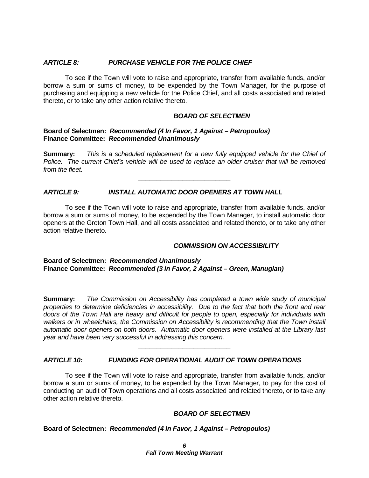#### *ARTICLE 8: PURCHASE VEHICLE FOR THE POLICE CHIEF*

To see if the Town will vote to raise and appropriate, transfer from available funds, and/or borrow a sum or sums of money, to be expended by the Town Manager, for the purpose of purchasing and equipping a new vehicle for the Police Chief, and all costs associated and related thereto, or to take any other action relative thereto.

#### *BOARD OF SELECTMEN*

#### **Board of Selectmen:** *Recommended (4 In Favor, 1 Against – Petropoulos)* **Finance Committee:** *Recommended Unanimously*

**Summary:** *This is a scheduled replacement for a new fully equipped vehicle for the Chief of Police. The current Chief's vehicle will be used to replace an older cruiser that will be removed from the fleet.*

\_\_\_\_\_\_\_\_\_\_\_\_\_\_\_\_\_\_\_\_\_\_\_\_\_

#### *ARTICLE 9: INSTALL AUTOMATIC DOOR OPENERS AT TOWN HALL*

To see if the Town will vote to raise and appropriate, transfer from available funds, and/or borrow a sum or sums of money, to be expended by the Town Manager, to install automatic door openers at the Groton Town Hall, and all costs associated and related thereto, or to take any other action relative thereto.

#### *COMMISSION ON ACCESSIBILITY*

#### **Board of Selectmen:** *Recommended Unanimously* **Finance Committee:** *Recommended (3 In Favor, 2 Against – Green, Manugian)*

**Summary:** *The Commission on Accessibility has completed a town wide study of municipal properties to determine deficiencies in accessibility. Due to the fact that both the front and rear doors of the Town Hall are heavy and difficult for people to open, especially for individuals with walkers or in wheelchairs, the Commission on Accessibility is recommending that the Town install automatic door openers on both doors. Automatic door openers were installed at the Library last year and have been very successful in addressing this concern.*

\_\_\_\_\_\_\_\_\_\_\_\_\_\_\_\_\_\_\_\_\_\_\_\_\_

#### *ARTICLE 10: FUNDING FOR OPERATIONAL AUDIT OF TOWN OPERATIONS*

To see if the Town will vote to raise and appropriate, transfer from available funds, and/or borrow a sum or sums of money, to be expended by the Town Manager, to pay for the cost of conducting an audit of Town operations and all costs associated and related thereto, or to take any other action relative thereto.

#### *BOARD OF SELECTMEN*

**Board of Selectmen:** *Recommended (4 In Favor, 1 Against – Petropoulos)*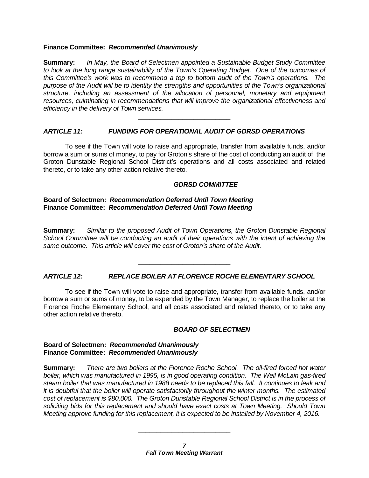#### **Finance Committee:** *Recommended Unanimously*

**Summary:** *In May, the Board of Selectmen appointed a Sustainable Budget Study Committee to look at the long range sustainability of the Town's Operating Budget. One of the outcomes of this Committee's work was to recommend a top to bottom audit of the Town's operations. The purpose of the Audit will be to identity the strengths and opportunities of the Town's organizational structure, including an assessment of the allocation of personnel, monetary and equipment resources, culminating in recommendations that will improve the organizational effectiveness and efficiency in the delivery of Town services.*

\_\_\_\_\_\_\_\_\_\_\_\_\_\_\_\_\_\_\_\_\_\_\_\_\_

#### *ARTICLE 11: FUNDING FOR OPERATIONAL AUDIT OF GDRSD OPERATIONS*

To see if the Town will vote to raise and appropriate, transfer from available funds, and/or borrow a sum or sums of money, to pay for Groton's share of the cost of conducting an audit of the Groton Dunstable Regional School District's operations and all costs associated and related thereto, or to take any other action relative thereto.

#### *GDRSD COMMITTEE*

#### **Board of Selectmen:** *Recommendation Deferred Until Town Meeting* **Finance Committee:** *Recommendation Deferred Until Town Meeting*

**Summary:** *Similar to the proposed Audit of Town Operations, the Groton Dunstable Regional School Committee will be conducting an audit of their operations with the intent of achieving the same outcome. This article will cover the cost of Groton's share of the Audit.*

\_\_\_\_\_\_\_\_\_\_\_\_\_\_\_\_\_\_\_\_\_\_\_\_\_

#### *ARTICLE 12: REPLACE BOILER AT FLORENCE ROCHE ELEMENTARY SCHOOL*

To see if the Town will vote to raise and appropriate, transfer from available funds, and/or borrow a sum or sums of money, to be expended by the Town Manager, to replace the boiler at the Florence Roche Elementary School, and all costs associated and related thereto, or to take any other action relative thereto.

#### *BOARD OF SELECTMEN*

#### **Board of Selectmen:** *Recommended Unanimously* **Finance Committee:** *Recommended Unanimously*

**Summary:** *There are two boilers at the Florence Roche School. The oil-fired forced hot water boiler, which was manufactured in 1995, is in good operating condition. The Weil McLain gas-fired steam boiler that was manufactured in 1988 needs to be replaced this fall. It continues to leak and it is doubtful that the boiler will operate satisfactorily throughout the winter months. The estimated cost of replacement is \$80,000. The Groton Dunstable Regional School District is in the process of soliciting bids for this replacement and should have exact costs at Town Meeting. Should Town Meeting approve funding for this replacement, it is expected to be installed by November 4, 2016.* 

\_\_\_\_\_\_\_\_\_\_\_\_\_\_\_\_\_\_\_\_\_\_\_\_\_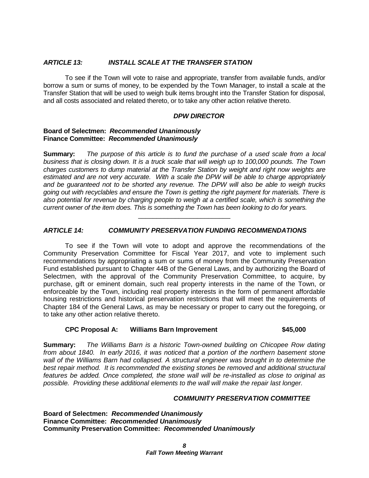#### *ARTICLE 13: INSTALL SCALE AT THE TRANSFER STATION*

To see if the Town will vote to raise and appropriate, transfer from available funds, and/or borrow a sum or sums of money, to be expended by the Town Manager, to install a scale at the Transfer Station that will be used to weigh bulk items brought into the Transfer Station for disposal, and all costs associated and related thereto, or to take any other action relative thereto.

#### *DPW DIRECTOR*

#### **Board of Selectmen:** *Recommended Unanimously* **Finance Committee:** *Recommended Unanimously*

**Summary:** *The purpose of this article is to fund the purchase of a used scale from a local business that is closing down. It is a truck scale that will weigh up to 100,000 pounds. The Town charges customers to dump material at the Transfer Station by weight and right now weights are estimated and are not very accurate. With a scale the DPW will be able to charge appropriately and be guaranteed not to be shorted any revenue. The DPW will also be able to weigh trucks going out with recyclables and ensure the Town is getting the right payment for materials. There is also potential for revenue by charging people to weigh at a certified scale, which is something the current owner of the item does. This is something the Town has been looking to do for years.* 

\_\_\_\_\_\_\_\_\_\_\_\_\_\_\_\_\_\_\_\_\_\_\_\_\_

#### *ARTICLE 14: COMMUNITY PRESERVATION FUNDING RECOMMENDATIONS*

To see if the Town will vote to adopt and approve the recommendations of the Community Preservation Committee for Fiscal Year 2017, and vote to implement such recommendations by appropriating a sum or sums of money from the Community Preservation Fund established pursuant to Chapter 44B of the General Laws, and by authorizing the Board of Selectmen, with the approval of the Community Preservation Committee, to acquire, by purchase, gift or eminent domain, such real property interests in the name of the Town, or enforceable by the Town, including real property interests in the form of permanent affordable housing restrictions and historical preservation restrictions that will meet the requirements of Chapter 184 of the General Laws, as may be necessary or proper to carry out the foregoing, or to take any other action relative thereto.

#### **CPC Proposal A: Williams Barn Improvement \$45,000**

**Summary:** *The Williams Barn is a historic Town-owned building on Chicopee Row dating from about 1840. In early 2016, it was noticed that a portion of the northern basement stone wall of the Williams Barn had collapsed. A structural engineer was brought in to determine the best repair method. It is recommended the existing stones be removed and additional structural features be added. Once completed, the stone wall will be re-installed as close to original as possible. Providing these additional elements to the wall will make the repair last longer.*

#### *COMMUNITY PRESERVATION COMMITTEE*

**Board of Selectmen:** *Recommended Unanimously* **Finance Committee:** *Recommended Unanimously* **Community Preservation Committee:** *Recommended Unanimously*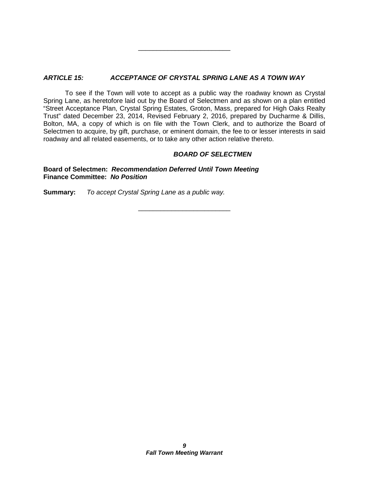#### *ARTICLE 15: ACCEPTANCE OF CRYSTAL SPRING LANE AS A TOWN WAY*

To see if the Town will vote to accept as a public way the roadway known as Crystal Spring Lane, as heretofore laid out by the Board of Selectmen and as shown on a plan entitled "Street Acceptance Plan, Crystal Spring Estates, Groton, Mass, prepared for High Oaks Realty Trust" dated December 23, 2014, Revised February 2, 2016, prepared by Ducharme & Dillis, Bolton, MA, a copy of which is on file with the Town Clerk, and to authorize the Board of Selectmen to acquire, by gift, purchase, or eminent domain, the fee to or lesser interests in said roadway and all related easements, or to take any other action relative thereto.

\_\_\_\_\_\_\_\_\_\_\_\_\_\_\_\_\_\_\_\_\_\_\_\_\_

\_\_\_\_\_\_\_\_\_\_\_\_\_\_\_\_\_\_\_\_\_\_\_\_\_

#### *BOARD OF SELECTMEN*

**Board of Selectmen:** *Recommendation Deferred Until Town Meeting* **Finance Committee:** *No Position*

**Summary:** *To accept Crystal Spring Lane as a public way.*

*9 Fall Town Meeting Warrant*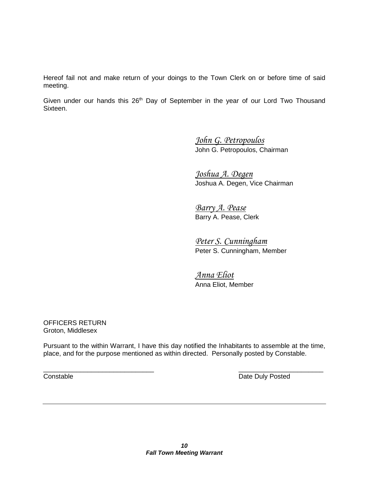Hereof fail not and make return of your doings to the Town Clerk on or before time of said meeting.

Given under our hands this 26<sup>th</sup> Day of September in the year of our Lord Two Thousand Sixteen.

> *John G. Petropoulos* John G. Petropoulos, Chairman

*Joshua A. Degen* Joshua A. Degen, Vice Chairman

*Barry A. Pease* Barry A. Pease, Clerk

*Peter S. Cunningham* Peter S. Cunningham, Member

*Anna Eliot* Anna Eliot, Member

OFFICERS RETURN Groton, Middlesex

Pursuant to the within Warrant, I have this day notified the Inhabitants to assemble at the time, place, and for the purpose mentioned as within directed. Personally posted by Constable.

\_\_\_\_\_\_\_\_\_\_\_\_\_\_\_\_\_\_\_\_\_\_\_\_\_\_\_\_\_\_ \_\_\_\_\_\_\_\_\_\_\_\_\_\_\_\_\_\_\_\_\_\_\_ **Constable** Date Duly Posted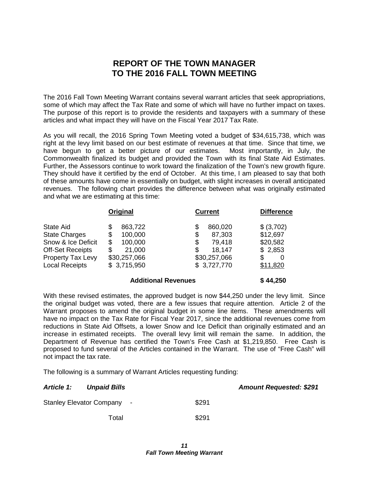## **REPORT OF THE TOWN MANAGER TO THE 2016 FALL TOWN MEETING**

The 2016 Fall Town Meeting Warrant contains several warrant articles that seek appropriations, some of which may affect the Tax Rate and some of which will have no further impact on taxes. The purpose of this report is to provide the residents and taxpayers with a summary of these articles and what impact they will have on the Fiscal Year 2017 Tax Rate.

As you will recall, the 2016 Spring Town Meeting voted a budget of \$34,615,738, which was right at the levy limit based on our best estimate of revenues at that time. Since that time, we have begun to get a better picture of our estimates. Most importantly, in July, the Commonwealth finalized its budget and provided the Town with its final State Aid Estimates. Further, the Assessors continue to work toward the finalization of the Town's new growth figure. They should have it certified by the end of October. At this time, I am pleased to say that both of these amounts have come in essentially on budget, with slight increases in overall anticipated revenues. The following chart provides the difference between what was originally estimated and what we are estimating at this time:

|                                                                                                                                  | Original                                                                                       | <b>Current</b>                                                                              | <b>Difference</b>                                              |
|----------------------------------------------------------------------------------------------------------------------------------|------------------------------------------------------------------------------------------------|---------------------------------------------------------------------------------------------|----------------------------------------------------------------|
| State Aid<br><b>State Charges</b><br>Snow & Ice Deficit<br><b>Off-Set Receipts</b><br>Property Tax Levy<br><b>Local Receipts</b> | 863,722<br>\$<br>100,000<br>\$<br>100,000<br>\$<br>21,000<br>\$<br>\$30,257,066<br>\$3,715,950 | 860,020<br>\$<br>\$<br>87,303<br>79.418<br>\$<br>18,147<br>S<br>\$30,257,066<br>\$3,727,770 | \$ (3,702)<br>\$12,697<br>\$20,582<br>\$2,853<br>0<br>\$11,820 |
|                                                                                                                                  |                                                                                                |                                                                                             |                                                                |

#### **Additional Revenues \$ 44,250**

With these revised estimates, the approved budget is now \$44,250 under the levy limit. Since the original budget was voted, there are a few issues that require attention. Article 2 of the Warrant proposes to amend the original budget in some line items. These amendments will have no impact on the Tax Rate for Fiscal Year 2017, since the additional revenues come from reductions in State Aid Offsets, a lower Snow and Ice Deficit than originally estimated and an increase in estimated receipts. The overall levy limit will remain the same. In addition, the Department of Revenue has certified the Town's Free Cash at \$1,219,850. Free Cash is proposed to fund several of the Articles contained in the Warrant. The use of "Free Cash" will not impact the tax rate.

The following is a summary of Warrant Articles requesting funding:

| <b>Article 1:</b><br><b>Unpaid Bills</b> | <b>Amount Requested: \$291</b> |
|------------------------------------------|--------------------------------|
| Stanley Elevator Company -               | \$291                          |
| Total                                    | \$291                          |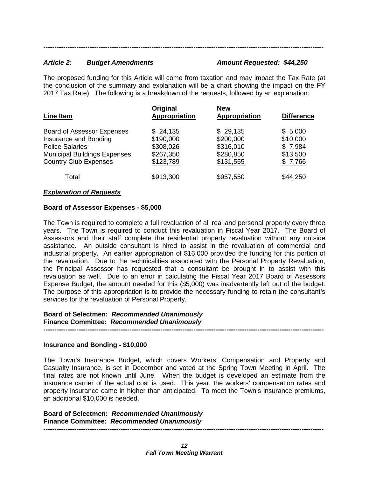#### *Article 2: Budget Amendments Amount Requested: \$44,250*

The proposed funding for this Article will come from taxation and may impact the Tax Rate (at the conclusion of the summary and explanation will be a chart showing the impact on the FY 2017 Tax Rate). The following is a breakdown of the requests, followed by an explanation:

*-------------------------------------------------------------------------------------------------------------------------------*

| Line Item                                                                                                                                                   | Original<br>Appropriation                                    | <b>New</b><br><b>Appropriation</b>                           | <b>Difference</b>                                     |
|-------------------------------------------------------------------------------------------------------------------------------------------------------------|--------------------------------------------------------------|--------------------------------------------------------------|-------------------------------------------------------|
| <b>Board of Assessor Expenses</b><br>Insurance and Bonding<br><b>Police Salaries</b><br><b>Municipal Buildings Expenses</b><br><b>Country Club Expenses</b> | \$24,135<br>\$190,000<br>\$308,026<br>\$267,350<br>\$123,789 | \$29,135<br>\$200,000<br>\$316,010<br>\$280,850<br>\$131,555 | \$5,000<br>\$10,000<br>\$7,984<br>\$13,500<br>\$7,766 |
| Total                                                                                                                                                       | \$913,300                                                    | \$957,550                                                    | \$44,250                                              |

#### *Explanation of Requests*

#### **Board of Assessor Expenses - \$5,000**

The Town is required to complete a full revaluation of all real and personal property every three years. The Town is required to conduct this revaluation in Fiscal Year 2017. The Board of Assessors and their staff complete the residential property revaluation without any outside assistance. An outside consultant is hired to assist in the revaluation of commercial and industrial property. An earlier appropriation of \$16,000 provided the funding for this portion of the revaluation. Due to the technicalities associated with the Personal Property Revaluation, the Principal Assessor has requested that a consultant be brought in to assist with this revaluation as well. Due to an error in calculating the Fiscal Year 2017 Board of Assessors Expense Budget, the amount needed for this (\$5,000) was inadvertently left out of the budget. The purpose of this appropriation is to provide the necessary funding to retain the consultant's services for the revaluation of Personal Property.

#### **Board of Selectmen:** *Recommended Unanimously*  **Finance Committee:** *Recommended Unanimously*

**-------------------------------------------------------------------------------------------------------------------------------**

#### **Insurance and Bonding - \$10,000**

The Town's Insurance Budget, which covers Workers' Compensation and Property and Casualty Insurance, is set in December and voted at the Spring Town Meeting in April. The final rates are not known until June. When the budget is developed an estimate from the insurance carrier of the actual cost is used. This year, the workers' compensation rates and property insurance came in higher than anticipated. To meet the Town's insurance premiums, an additional \$10,000 is needed.

#### **Board of Selectmen:** *Recommended Unanimously*  **Finance Committee:** *Recommended Unanimously*  **-------------------------------------------------------------------------------------------------------------------------------**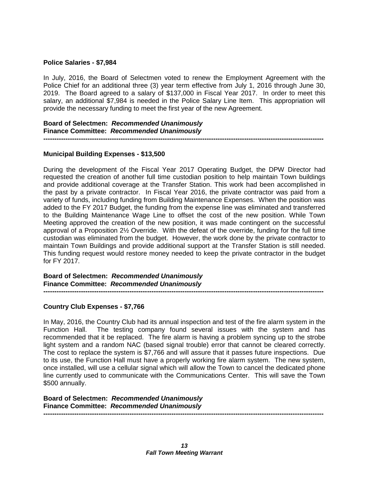#### **Police Salaries - \$7,984**

In July, 2016, the Board of Selectmen voted to renew the Employment Agreement with the Police Chief for an additional three (3) year term effective from July 1, 2016 through June 30, 2019. The Board agreed to a salary of \$137,000 in Fiscal Year 2017. In order to meet this salary, an additional \$7,984 is needed in the Police Salary Line Item. This appropriation will provide the necessary funding to meet the first year of the new Agreement.

#### **Board of Selectmen:** *Recommended Unanimously*  **Finance Committee:** *Recommended Unanimously*

**-------------------------------------------------------------------------------------------------------------------------------**

#### **Municipal Building Expenses - \$13,500**

During the development of the Fiscal Year 2017 Operating Budget, the DPW Director had requested the creation of another full time custodian position to help maintain Town buildings and provide additional coverage at the Transfer Station. This work had been accomplished in the past by a private contractor. In Fiscal Year 2016, the private contractor was paid from a variety of funds, including funding from Building Maintenance Expenses. When the position was added to the FY 2017 Budget, the funding from the expense line was eliminated and transferred to the Building Maintenance Wage Line to offset the cost of the new position. While Town Meeting approved the creation of the new position, it was made contingent on the successful approval of a Proposition 2½ Override. With the defeat of the override, funding for the full time custodian was eliminated from the budget. However, the work done by the private contractor to maintain Town Buildings and provide additional support at the Transfer Station is still needed. This funding request would restore money needed to keep the private contractor in the budget for FY 2017.

**Board of Selectmen:** *Recommended Unanimously*  **Finance Committee:** *Recommended Unanimously*  **-------------------------------------------------------------------------------------------------------------------------------**

#### **Country Club Expenses - \$7,766**

In May, 2016, the Country Club had its annual inspection and test of the fire alarm system in the Function Hall. The testing company found several issues with the system and has recommended that it be replaced. The fire alarm is having a problem syncing up to the strobe light system and a random NAC (based signal trouble) error that cannot be cleared correctly. The cost to replace the system is \$7,766 and will assure that it passes future inspections. Due to its use, the Function Hall must have a properly working fire alarm system. The new system, once installed, will use a cellular signal which will allow the Town to cancel the dedicated phone line currently used to communicate with the Communications Center. This will save the Town \$500 annually.

**Board of Selectmen:** *Recommended Unanimously*  **Finance Committee:** *Recommended Unanimously*  **-------------------------------------------------------------------------------------------------------------------------------**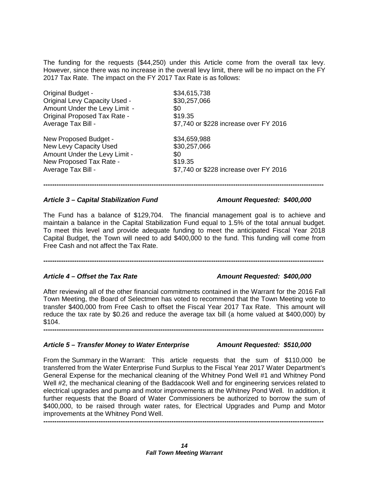The funding for the requests (\$44,250) under this Article come from the overall tax levy. However, since there was no increase in the overall levy limit, there will be no impact on the FY 2017 Tax Rate. The impact on the FY 2017 Tax Rate is as follows:

| <b>Original Budget -</b>             | \$34,615,738                           |
|--------------------------------------|----------------------------------------|
| <b>Original Levy Capacity Used -</b> | \$30,257,066                           |
| Amount Under the Levy Limit -        | \$0                                    |
| <b>Original Proposed Tax Rate -</b>  | \$19.35                                |
| Average Tax Bill -                   | \$7,740 or \$228 increase over FY 2016 |
| New Proposed Budget -                | \$34,659,988                           |
| New Levy Capacity Used               | \$30,257,066                           |
| Amount Under the Levy Limit -        | \$0                                    |
| New Proposed Tax Rate -              | \$19.35                                |
| Average Tax Bill -                   | \$7,740 or \$228 increase over FY 2016 |

#### *Article 3 – Capital Stabilization Fund Amount Requested: \$400,000*

The Fund has a balance of \$129,704. The financial management goal is to achieve and maintain a balance in the Capital Stabilization Fund equal to 1.5% of the total annual budget. To meet this level and provide adequate funding to meet the anticipated Fiscal Year 2018 Capital Budget, the Town will need to add \$400,000 to the fund. This funding will come from Free Cash and not affect the Tax Rate.

**-------------------------------------------------------------------------------------------------------------------------------**

**-------------------------------------------------------------------------------------------------------------------------------**

## *Article 4 – Offset the Tax Rate Amount Requested: \$400,000*

After reviewing all of the other financial commitments contained in the Warrant for the 2016 Fall Town Meeting, the Board of Selectmen has voted to recommend that the Town Meeting vote to transfer \$400,000 from Free Cash to offset the Fiscal Year 2017 Tax Rate. This amount will reduce the tax rate by \$0.26 and reduce the average tax bill (a home valued at \$400,000) by \$104.

**-------------------------------------------------------------------------------------------------------------------------------**

#### *Article 5 – Transfer Money to Water Enterprise Amount Requested: \$510,000*

From the Summary in the Warrant: This article requests that the sum of \$110,000 be transferred from the Water Enterprise Fund Surplus to the Fiscal Year 2017 Water Department's General Expense for the mechanical cleaning of the Whitney Pond Well #1 and Whitney Pond Well #2, the mechanical cleaning of the Baddacook Well and for engineering services related to electrical upgrades and pump and motor improvements at the Whitney Pond Well. In addition, it further requests that the Board of Water Commissioners be authorized to borrow the sum of \$400,000, to be raised through water rates, for Electrical Upgrades and Pump and Motor improvements at the Whitney Pond Well.

**-------------------------------------------------------------------------------------------------------------------------------**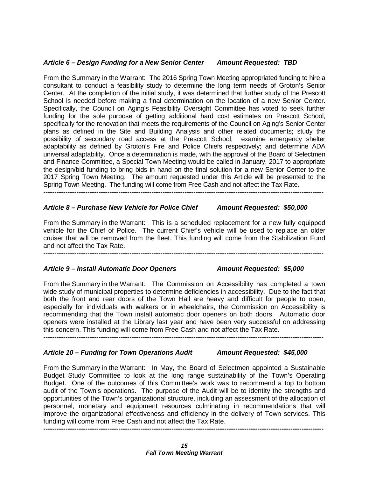#### *Article 6 – Design Funding for a New Senior Center Amount Requested: TBD*

From the Summary in the Warrant: The 2016 Spring Town Meeting appropriated funding to hire a consultant to conduct a feasibility study to determine the long term needs of Groton's Senior Center. At the completion of the initial study, it was determined that further study of the Prescott School is needed before making a final determination on the location of a new Senior Center. Specifically, the Council on Aging's Feasibility Oversight Committee has voted to seek further funding for the sole purpose of getting additional hard cost estimates on Prescott School, specifically for the renovation that meets the requirements of the Council on Aging's Senior Center plans as defined in the Site and Building Analysis and other related documents; study the possibility of secondary road access at the Prescott School; examine emergency shelter adaptability as defined by Groton's Fire and Police Chiefs respectively; and determine ADA universal adaptability. Once a determination is made, with the approval of the Board of Selectmen and Finance Committee, a Special Town Meeting would be called in January, 2017 to appropriate the design/bid funding to bring bids in hand on the final solution for a new Senior Center to the 2017 Spring Town Meeting. The amount requested under this Article will be presented to the Spring Town Meeting. The funding will come from Free Cash and not affect the Tax Rate.

**-------------------------------------------------------------------------------------------------------------------------------**

#### *Article 8 – Purchase New Vehicle for Police Chief Amount Requested: \$50,000*

From the Summary in the Warrant: This is a scheduled replacement for a new fully equipped vehicle for the Chief of Police. The current Chief's vehicle will be used to replace an older cruiser that will be removed from the fleet. This funding will come from the Stabilization Fund and not affect the Tax Rate.

**-------------------------------------------------------------------------------------------------------------------------------**

#### *Article 9 – Install Automatic Door Openers Amount Requested: \$5,000*

From the Summary in the Warrant: The Commission on Accessibility has completed a town wide study of municipal properties to determine deficiencies in accessibility. Due to the fact that both the front and rear doors of the Town Hall are heavy and difficult for people to open, especially for individuals with walkers or in wheelchairs, the Commission on Accessibility is recommending that the Town install automatic door openers on both doors. Automatic door openers were installed at the Library last year and have been very successful on addressing this concern. This funding will come from Free Cash and not affect the Tax Rate. **-------------------------------------------------------------------------------------------------------------------------------**

#### *Article 10 – Funding for Town Operations Audit Amount Requested: \$45,000*

From the Summary in the Warrant: In May, the Board of Selectmen appointed a Sustainable Budget Study Committee to look at the long range sustainability of the Town's Operating Budget. One of the outcomes of this Committee's work was to recommend a top to bottom audit of the Town's operations. The purpose of the Audit will be to identity the strengths and opportunities of the Town's organizational structure, including an assessment of the allocation of personnel, monetary and equipment resources culminating in recommendations that will improve the organizational effectiveness and efficiency in the delivery of Town services. This funding will come from Free Cash and not affect the Tax Rate.

**-------------------------------------------------------------------------------------------------------------------------------**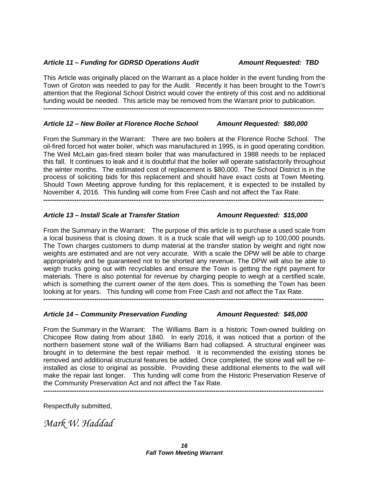### *Article 11 – Funding for GDRSD Operations Audit Amount Requested: TBD*

This Article was originally placed on the Warrant as a place holder in the event funding from the Town of Groton was needed to pay for the Audit. Recently it has been brought to the Town's attention that the Regional School District would cover the entirety of this cost and no additional funding would be needed. This article may be removed from the Warrant prior to publication. **-------------------------------------------------------------------------------------------------------------------------------**

### *Article 12 – New Boiler at Florence Roche School Amount Requested: \$80,000*

From the Summary in the Warrant: There are two boilers at the Florence Roche School. The oil-fired forced hot water boiler, which was manufactured in 1995, is in good operating condition. The Weil McLain gas-fired steam boiler that was manufactured in 1988 needs to be replaced this fall. It continues to leak and it is doubtful that the boiler will operate satisfactorily throughout the winter months. The estimated cost of replacement is \$80,000. The School District is in the process of soliciting bids for this replacement and should have exact costs at Town Meeting. Should Town Meeting approve funding for this replacement, it is expected to be installed by November 4, 2016. This funding will come from Free Cash and not affect the Tax Rate.

**-------------------------------------------------------------------------------------------------------------------------------**

### *Article 13 – Install Scale at Transfer Station Amount Requested: \$15,000*

From the Summary in the Warrant: The purpose of this article is to purchase a used scale from a local business that is closing down. It is a truck scale that will weigh up to 100,000 pounds. The Town charges customers to dump material at the transfer station by weight and right now weights are estimated and are not very accurate. With a scale the DPW will be able to charge appropriately and be guaranteed not to be shorted any revenue. The DPW will also be able to weigh trucks going out with recyclables and ensure the Town is getting the right payment for materials. There is also potential for revenue by charging people to weigh at a certified scale, which is something the current owner of the item does. This is something the Town has been looking at for years. This funding will come from Free Cash and not affect the Tax Rate. **-------------------------------------------------------------------------------------------------------------------------------**

#### *Article 14 – Community Preservation Funding Amount Requested: \$45,000*

From the Summary in the Warrant: The Williams Barn is a historic Town-owned building on Chicopee Row dating from about 1840. In early 2016, it was noticed that a portion of the northern basement stone wall of the Williams Barn had collapsed. A structural engineer was brought in to determine the best repair method. It is recommended the existing stones be removed and additional structural features be added. Once completed, the stone wall will be reinstalled as close to original as possible. Providing these additional elements to the wall will make the repair last longer. This funding will come from the Historic Preservation Reserve of the Community Preservation Act and not affect the Tax Rate.

**-------------------------------------------------------------------------------------------------------------------------------**

Respectfully submitted,

*Mark W. Haddad*